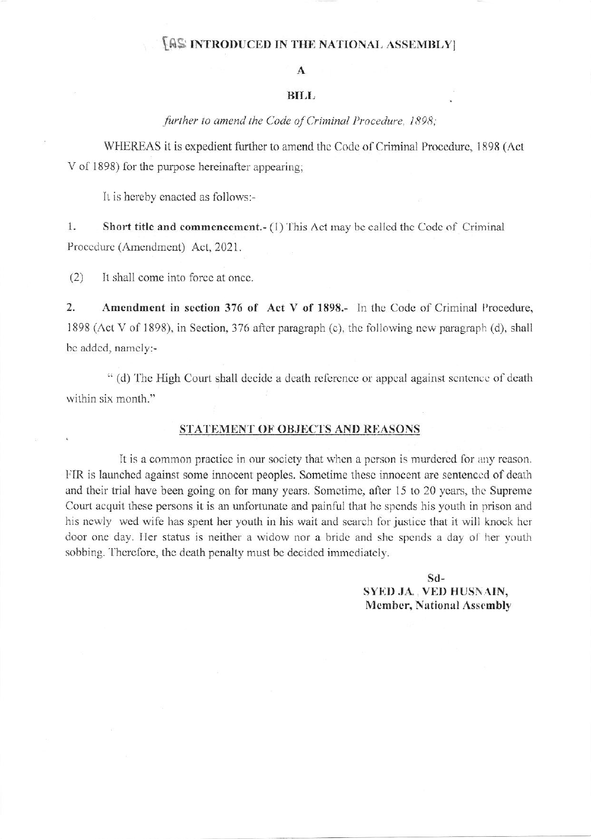## **IAS INTRODUCED IN THE NATIONAL ASSEMBLY**

## $\mathbf{A}$

## **BILL**

further to amend the Code of Criminal Procedure, 1898;

WHEREAS it is expedient further to amend the Code of Criminal Procedure, 1898 (Act V of 1898) for the purpose hereinafter appearing;

It is hereby enacted as follows:-

1. **Short title and commencement.** (1) This Act may be called the Code of Criminal Procedure (Amendment) Act, 2021.

 $(2)$ It shall come into force at once.

 $2.$ Amendment in section 376 of Act V of 1898.- In the Code of Criminal Procedure, 1898 (Act V of 1898), in Section, 376 after paragraph (c), the following new paragraph (d), shall be added, namely:-

" (d) The High Court shall decide a death reference or appeal against sentence of death within six month."

## STATEMENT OF OBJECTS AND REASONS

It is a common practice in our society that when a person is murdered for any reason. FIR is launched against some innocent peoples. Sometime these innocent are sentenced of death and their trial have been going on for many years. Sometime, after 15 to 20 years, the Supreme Court acquit these persons it is an unfortunate and painful that he spends his youth in prison and his newly wed wife has spent her youth in his wait and search for justice that it will knock her door one day. Her status is neither a widow nor a bride and she spends a day of her youth sobbing. Therefore, the death penalty must be decided immediately.

> $Sd-$ SYED JA. VED HUSNAIN, **Member, National Assembly**